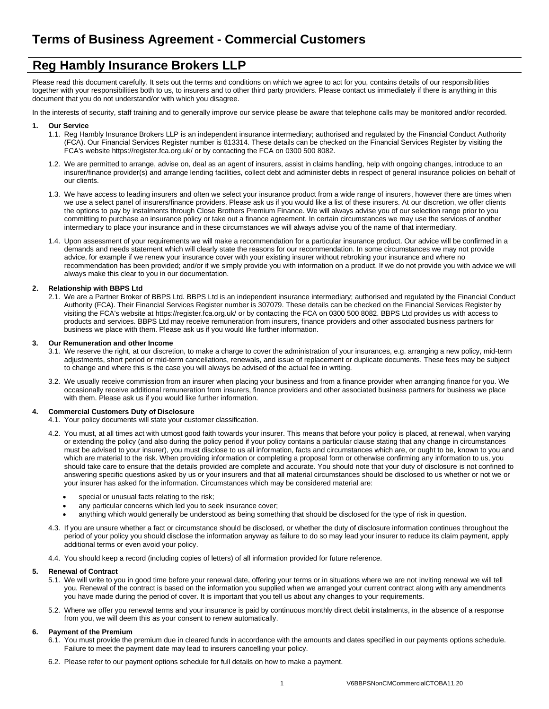# **Reg Hambly Insurance Brokers LLP**

Please read this document carefully. It sets out the terms and conditions on which we agree to act for you, contains details of our responsibilities together with your responsibilities both to us, to insurers and to other third party providers. Please contact us immediately if there is anything in this document that you do not understand/or with which you disagree.

In the interests of security, staff training and to generally improve our service please be aware that telephone calls may be monitored and/or recorded.

# **1. Our Service**

- 1.1. Reg Hambly Insurance Brokers LLP is an independent insurance intermediary; authorised and regulated by the Financial Conduct Authority (FCA). Our Financial Services Register number is 813314. These details can be checked on the Financial Services Register by visiting the FCA's website https://register.fca.org.uk/ or by contacting the FCA on 0300 500 8082.
- 1.2. We are permitted to arrange, advise on, deal as an agent of insurers, assist in claims handling, help with ongoing changes, introduce to an insurer/finance provider(s) and arrange lending facilities, collect debt and administer debts in respect of general insurance policies on behalf of our clients.
- 1.3. We have access to leading insurers and often we select your insurance product from a wide range of insurers, however there are times when we use a select panel of insurers/finance providers. Please ask us if you would like a list of these insurers. At our discretion, we offer clients the options to pay by instalments through Close Brothers Premium Finance. We will always advise you of our selection range prior to you committing to purchase an insurance policy or take out a finance agreement. In certain circumstances we may use the services of another intermediary to place your insurance and in these circumstances we will always advise you of the name of that intermediary.
- 1.4. Upon assessment of your requirements we will make a recommendation for a particular insurance product. Our advice will be confirmed in a demands and needs statement which will clearly state the reasons for our recommendation. In some circumstances we may not provide advice, for example if we renew your insurance cover with your existing insurer without rebroking your insurance and where no recommendation has been provided; and/or if we simply provide you with information on a product. If we do not provide you with advice we will always make this clear to you in our documentation.

# **2. Relationship with BBPS Ltd**

2.1. We are a Partner Broker of BBPS Ltd. BBPS Ltd is an independent insurance intermediary; authorised and regulated by the Financial Conduct Authority (FCA). Their Financial Services Register number is 307079. These details can be checked on the Financial Services Register by visiting the FCA's website at https://register.fca.org.uk/ or by contacting the FCA on 0300 500 8082. BBPS Ltd provides us with access to products and services. BBPS Ltd may receive remuneration from insurers, finance providers and other associated business partners for business we place with them. Please ask us if you would like further information.

## **3. Our Remuneration and other Income**

- 3.1. We reserve the right, at our discretion, to make a charge to cover the administration of your insurances, e.g. arranging a new policy, mid-term adjustments, short period or mid-term cancellations, renewals, and issue of replacement or duplicate documents. These fees may be subject to change and where this is the case you will always be advised of the actual fee in writing.
- 3.2. We usually receive commission from an insurer when placing your business and from a finance provider when arranging finance for you. We occasionally receive additional remuneration from insurers, finance providers and other associated business partners for business we place with them. Please ask us if you would like further information.

# **4. Commercial Customers Duty of Disclosure**

- 4.1. Your policy documents will state your customer classification.
- 4.2. You must, at all times act with utmost good faith towards your insurer. This means that before your policy is placed, at renewal, when varying or extending the policy (and also during the policy period if your policy contains a particular clause stating that any change in circumstances must be advised to your insurer), you must disclose to us all information, facts and circumstances which are, or ought to be, known to you and which are material to the risk. When providing information or completing a proposal form or otherwise confirming any information to us, you should take care to ensure that the details provided are complete and accurate. You should note that your duty of disclosure is not confined to answering specific questions asked by us or your insurers and that all material circumstances should be disclosed to us whether or not we or your insurer has asked for the information. Circumstances which may be considered material are:
	- special or unusual facts relating to the risk;
	- any particular concerns which led you to seek insurance cover;
	- anything which would generally be understood as being something that should be disclosed for the type of risk in question.
- 4.3. If you are unsure whether a fact or circumstance should be disclosed, or whether the duty of disclosure information continues throughout the period of your policy you should disclose the information anyway as failure to do so may lead your insurer to reduce its claim payment, apply additional terms or even avoid your policy.
- 4.4. You should keep a record (including copies of letters) of all information provided for future reference.

# **5. Renewal of Contract**

- 5.1. We will write to you in good time before your renewal date, offering your terms or in situations where we are not inviting renewal we will tell you. Renewal of the contract is based on the information you supplied when we arranged your current contract along with any amendments you have made during the period of cover. It is important that you tell us about any changes to your requirements.
- 5.2. Where we offer you renewal terms and your insurance is paid by continuous monthly direct debit instalments, in the absence of a response from you, we will deem this as your consent to renew automatically.

# **6. Payment of the Premium**

- 6.1. You must provide the premium due in cleared funds in accordance with the amounts and dates specified in our payments options schedule. Failure to meet the payment date may lead to insurers cancelling your policy.
- 6.2. Please refer to our payment options schedule for full details on how to make a payment.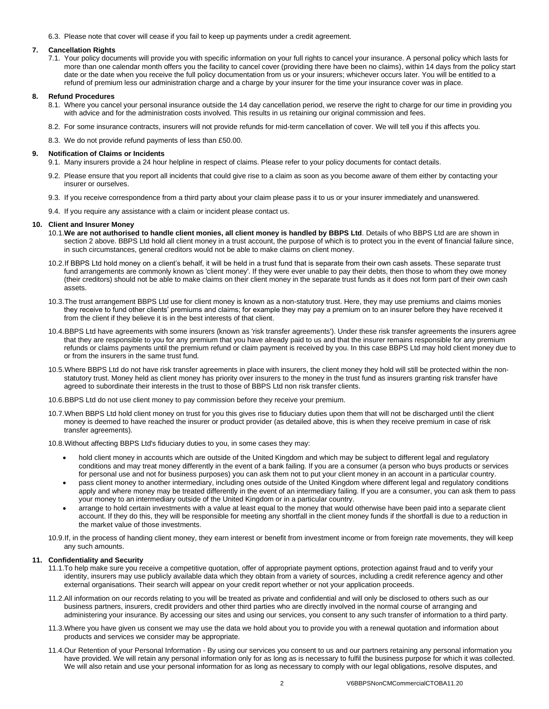6.3. Please note that cover will cease if you fail to keep up payments under a credit agreement.

## **7. Cancellation Rights**

7.1. Your policy documents will provide you with specific information on your full rights to cancel your insurance. A personal policy which lasts for more than one calendar month offers you the facility to cancel cover (providing there have been no claims), within 14 days from the policy start date or the date when you receive the full policy documentation from us or your insurers; whichever occurs later. You will be entitled to a refund of premium less our administration charge and a charge by your insurer for the time your insurance cover was in place.

#### **8. Refund Procedures**

- 8.1. Where you cancel your personal insurance outside the 14 day cancellation period, we reserve the right to charge for our time in providing you with advice and for the administration costs involved. This results in us retaining our original commission and fees.
- 8.2. For some insurance contracts, insurers will not provide refunds for mid-term cancellation of cover. We will tell you if this affects you.
- 8.3. We do not provide refund payments of less than £50.00.

#### **9. Notification of Claims or Incidents**

- 9.1. Many insurers provide a 24 hour helpline in respect of claims. Please refer to your policy documents for contact details.
- 9.2. Please ensure that you report all incidents that could give rise to a claim as soon as you become aware of them either by contacting your insurer or ourselves.
- 9.3. If you receive correspondence from a third party about your claim please pass it to us or your insurer immediately and unanswered.
- 9.4. If you require any assistance with a claim or incident please contact us.

## **10. Client and Insurer Money**

- 10.1.**We are not authorised to handle client monies, all client money is handled by BBPS Ltd**. Details of who BBPS Ltd are are shown in section 2 above. BBPS Ltd hold all client money in a trust account, the purpose of which is to protect you in the event of financial failure since, in such circumstances, general creditors would not be able to make claims on client money.
- 10.2.If BBPS Ltd hold money on a client's behalf, it will be held in a trust fund that is separate from their own cash assets. These separate trust fund arrangements are commonly known as 'client money'. If they were ever unable to pay their debts, then those to whom they owe money (their creditors) should not be able to make claims on their client money in the separate trust funds as it does not form part of their own cash assets.
- 10.3.The trust arrangement BBPS Ltd use for client money is known as a non-statutory trust. Here, they may use premiums and claims monies they receive to fund other clients' premiums and claims; for example they may pay a premium on to an insurer before they have received it from the client if they believe it is in the best interests of that client.
- 10.4.BBPS Ltd have agreements with some insurers (known as 'risk transfer agreements'). Under these risk transfer agreements the insurers agree that they are responsible to you for any premium that you have already paid to us and that the insurer remains responsible for any premium refunds or claims payments until the premium refund or claim payment is received by you. In this case BBPS Ltd may hold client money due to or from the insurers in the same trust fund.
- 10.5.Where BBPS Ltd do not have risk transfer agreements in place with insurers, the client money they hold will still be protected within the nonstatutory trust. Money held as client money has priority over insurers to the money in the trust fund as insurers granting risk transfer have agreed to subordinate their interests in the trust to those of BBPS Ltd non risk transfer clients.
- 10.6.BBPS Ltd do not use client money to pay commission before they receive your premium.
- 10.7.When BBPS Ltd hold client money on trust for you this gives rise to fiduciary duties upon them that will not be discharged until the client money is deemed to have reached the insurer or product provider (as detailed above, this is when they receive premium in case of risk transfer agreements).

10.8.Without affecting BBPS Ltd's fiduciary duties to you, in some cases they may:

- hold client money in accounts which are outside of the United Kingdom and which may be subject to different legal and regulatory conditions and may treat money differently in the event of a bank failing. If you are a consumer (a person who buys products or services for personal use and not for business purposes) you can ask them not to put your client money in an account in a particular country.
- pass client money to another intermediary, including ones outside of the United Kingdom where different legal and regulatory conditions apply and where money may be treated differently in the event of an intermediary failing. If you are a consumer, you can ask them to pass your money to an intermediary outside of the United Kingdom or in a particular country.
- arrange to hold certain investments with a value at least equal to the money that would otherwise have been paid into a separate client account. If they do this, they will be responsible for meeting any shortfall in the client money funds if the shortfall is due to a reduction in the market value of those investments.
- 10.9.If, in the process of handing client money, they earn interest or benefit from investment income or from foreign rate movements, they will keep any such amounts.

## **11. Confidentiality and Security**

- 11.1.To help make sure you receive a competitive quotation, offer of appropriate payment options, protection against fraud and to verify your identity, insurers may use publicly available data which they obtain from a variety of sources, including a credit reference agency and other external organisations. Their search will appear on your credit report whether or not your application proceeds.
- 11.2.All information on our records relating to you will be treated as private and confidential and will only be disclosed to others such as our business partners, insurers, credit providers and other third parties who are directly involved in the normal course of arranging and administering your insurance. By accessing our sites and using our services, you consent to any such transfer of information to a third party.
- 11.3.Where you have given us consent we may use the data we hold about you to provide you with a renewal quotation and information about products and services we consider may be appropriate.
- 11.4.Our Retention of your Personal Information By using our services you consent to us and our partners retaining any personal information you have provided. We will retain any personal information only for as long as is necessary to fulfil the business purpose for which it was collected. We will also retain and use your personal information for as long as necessary to comply with our legal obligations, resolve disputes, and